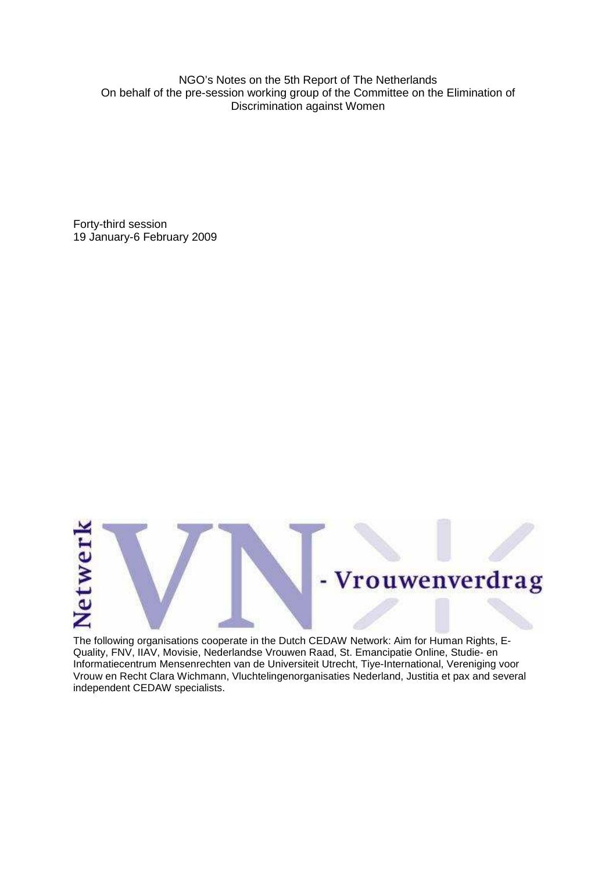NGO's Notes on the 5th Report of The Netherlands On behalf of the pre-session working group of the Committee on the Elimination of Discrimination against Women

Forty-third session 19 January-6 February 2009



The following organisations cooperate in the Dutch CEDAW Network: Aim for Human Rights, E-Quality, FNV, IIAV, Movisie, Nederlandse Vrouwen Raad, St. Emancipatie Online, Studie- en Informatiecentrum Mensenrechten van de Universiteit Utrecht, Tiye-International, Vereniging voor Vrouw en Recht Clara Wichmann, Vluchtelingenorganisaties Nederland, Justitia et pax and several independent CEDAW specialists.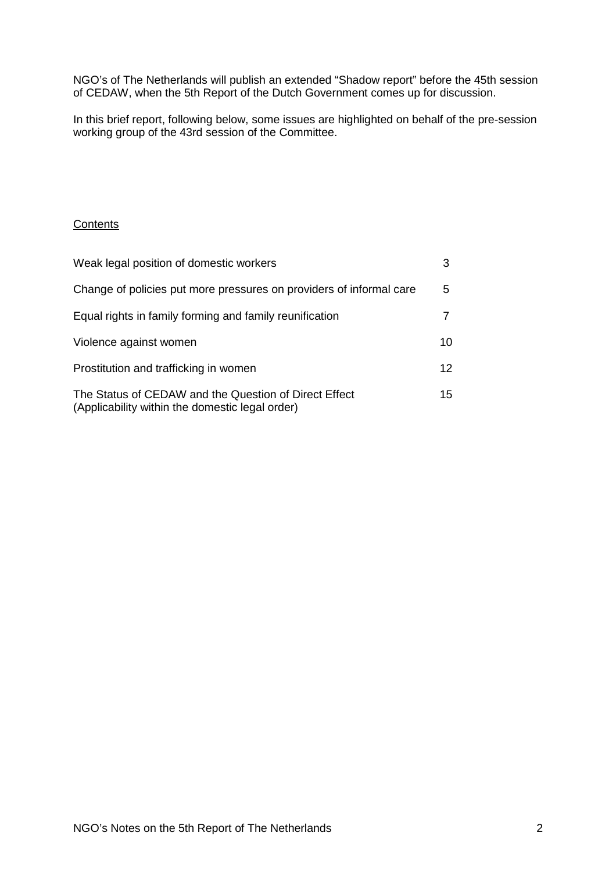NGO's of The Netherlands will publish an extended "Shadow report" before the 45th session of CEDAW, when the 5th Report of the Dutch Government comes up for discussion.

In this brief report, following below, some issues are highlighted on behalf of the pre-session working group of the 43rd session of the Committee.

# **Contents**

| Weak legal position of domestic workers                                                                  | 3               |
|----------------------------------------------------------------------------------------------------------|-----------------|
| Change of policies put more pressures on providers of informal care                                      | 5               |
| Equal rights in family forming and family reunification                                                  |                 |
| Violence against women                                                                                   | 10              |
| Prostitution and trafficking in women                                                                    | 12 <sup>2</sup> |
| The Status of CEDAW and the Question of Direct Effect<br>(Applicability within the domestic legal order) | 15              |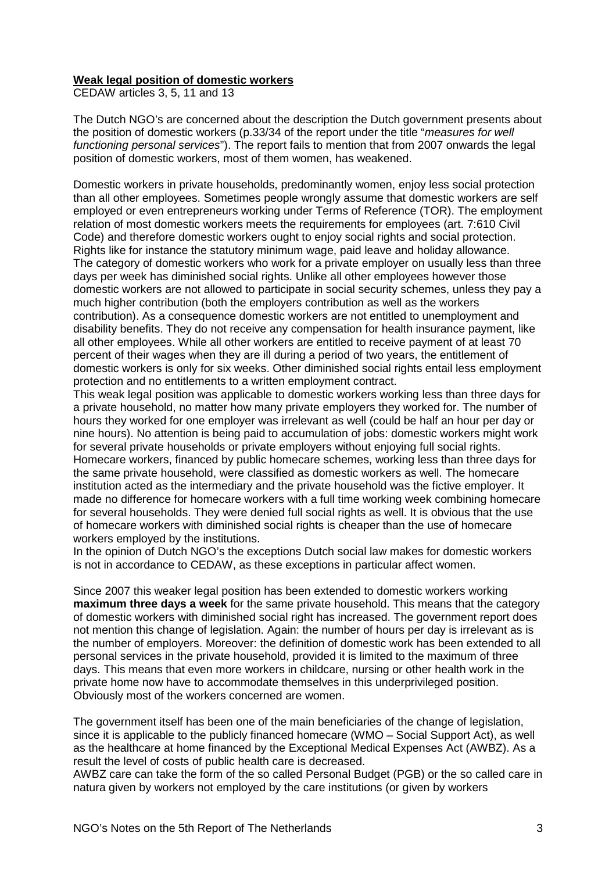### **Weak legal position of domestic workers**

CEDAW articles 3, 5, 11 and 13

The Dutch NGO's are concerned about the description the Dutch government presents about the position of domestic workers (p.33/34 of the report under the title "measures for well functioning personal services"). The report fails to mention that from 2007 onwards the legal position of domestic workers, most of them women, has weakened.

Domestic workers in private households, predominantly women, enjoy less social protection than all other employees. Sometimes people wrongly assume that domestic workers are self employed or even entrepreneurs working under Terms of Reference (TOR). The employment relation of most domestic workers meets the requirements for employees (art. 7:610 Civil Code) and therefore domestic workers ought to enjoy social rights and social protection. Rights like for instance the statutory minimum wage, paid leave and holiday allowance. The category of domestic workers who work for a private employer on usually less than three days per week has diminished social rights. Unlike all other employees however those domestic workers are not allowed to participate in social security schemes, unless they pay a much higher contribution (both the employers contribution as well as the workers contribution). As a consequence domestic workers are not entitled to unemployment and disability benefits. They do not receive any compensation for health insurance payment, like all other employees. While all other workers are entitled to receive payment of at least 70 percent of their wages when they are ill during a period of two years, the entitlement of domestic workers is only for six weeks. Other diminished social rights entail less employment protection and no entitlements to a written employment contract.

This weak legal position was applicable to domestic workers working less than three days for a private household, no matter how many private employers they worked for. The number of hours they worked for one employer was irrelevant as well (could be half an hour per day or nine hours). No attention is being paid to accumulation of jobs: domestic workers might work for several private households or private employers without enjoying full social rights. Homecare workers, financed by public homecare schemes, working less than three days for the same private household, were classified as domestic workers as well. The homecare institution acted as the intermediary and the private household was the fictive employer. It made no difference for homecare workers with a full time working week combining homecare for several households. They were denied full social rights as well. It is obvious that the use of homecare workers with diminished social rights is cheaper than the use of homecare workers employed by the institutions.

In the opinion of Dutch NGO's the exceptions Dutch social law makes for domestic workers is not in accordance to CEDAW, as these exceptions in particular affect women.

Since 2007 this weaker legal position has been extended to domestic workers working **maximum three days a week** for the same private household. This means that the category of domestic workers with diminished social right has increased. The government report does not mention this change of legislation. Again: the number of hours per day is irrelevant as is the number of employers. Moreover: the definition of domestic work has been extended to all personal services in the private household, provided it is limited to the maximum of three days. This means that even more workers in childcare, nursing or other health work in the private home now have to accommodate themselves in this underprivileged position. Obviously most of the workers concerned are women.

The government itself has been one of the main beneficiaries of the change of legislation, since it is applicable to the publicly financed homecare (WMO – Social Support Act), as well as the healthcare at home financed by the Exceptional Medical Expenses Act (AWBZ). As a result the level of costs of public health care is decreased.

AWBZ care can take the form of the so called Personal Budget (PGB) or the so called care in natura given by workers not employed by the care institutions (or given by workers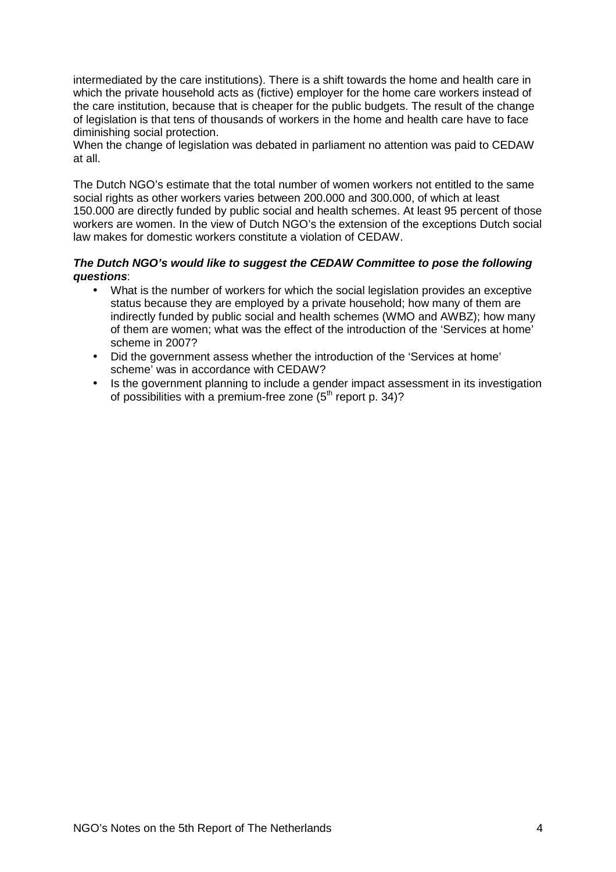intermediated by the care institutions). There is a shift towards the home and health care in which the private household acts as (fictive) employer for the home care workers instead of the care institution, because that is cheaper for the public budgets. The result of the change of legislation is that tens of thousands of workers in the home and health care have to face diminishing social protection.

When the change of legislation was debated in parliament no attention was paid to CEDAW at all.

The Dutch NGO's estimate that the total number of women workers not entitled to the same social rights as other workers varies between 200.000 and 300.000, of which at least 150.000 are directly funded by public social and health schemes. At least 95 percent of those workers are women. In the view of Dutch NGO's the extension of the exceptions Dutch social law makes for domestic workers constitute a violation of CEDAW.

### **The Dutch NGO's would like to suggest the CEDAW Committee to pose the following questions**:

- What is the number of workers for which the social legislation provides an exceptive status because they are employed by a private household; how many of them are indirectly funded by public social and health schemes (WMO and AWBZ); how many of them are women; what was the effect of the introduction of the 'Services at home' scheme in 2007?
- Did the government assess whether the introduction of the 'Services at home' scheme' was in accordance with CEDAW?
- Is the government planning to include a gender impact assessment in its investigation of possibilities with a premium-free zone  $(5<sup>th</sup>$  report p. 34)?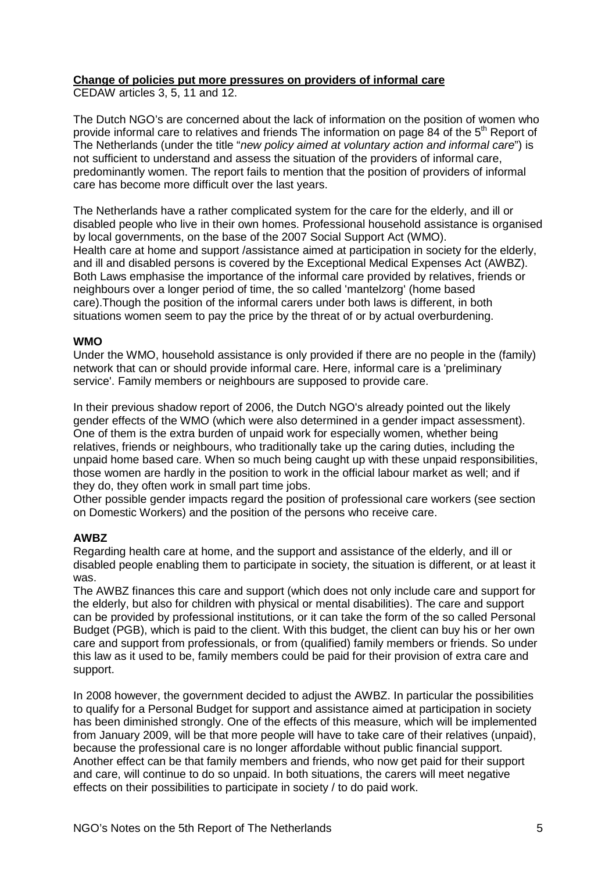## **Change of policies put more pressures on providers of informal care**

CEDAW articles 3, 5, 11 and 12.

The Dutch NGO's are concerned about the lack of information on the position of women who provide informal care to relatives and friends The information on page 84 of the 5<sup>th</sup> Report of The Netherlands (under the title "new policy aimed at voluntary action and informal care") is not sufficient to understand and assess the situation of the providers of informal care, predominantly women. The report fails to mention that the position of providers of informal care has become more difficult over the last years.

The Netherlands have a rather complicated system for the care for the elderly, and ill or disabled people who live in their own homes. Professional household assistance is organised by local governments, on the base of the 2007 Social Support Act (WMO). Health care at home and support /assistance aimed at participation in society for the elderly, and ill and disabled persons is covered by the Exceptional Medical Expenses Act (AWBZ). Both Laws emphasise the importance of the informal care provided by relatives, friends or neighbours over a longer period of time, the so called 'mantelzorg' (home based care).Though the position of the informal carers under both laws is different, in both situations women seem to pay the price by the threat of or by actual overburdening.

### **WMO**

Under the WMO, household assistance is only provided if there are no people in the (family) network that can or should provide informal care. Here, informal care is a 'preliminary service'. Family members or neighbours are supposed to provide care.

In their previous shadow report of 2006, the Dutch NGO's already pointed out the likely gender effects of the WMO (which were also determined in a gender impact assessment). One of them is the extra burden of unpaid work for especially women, whether being relatives, friends or neighbours, who traditionally take up the caring duties, including the unpaid home based care. When so much being caught up with these unpaid responsibilities, those women are hardly in the position to work in the official labour market as well; and if they do, they often work in small part time jobs.

Other possible gender impacts regard the position of professional care workers (see section on Domestic Workers) and the position of the persons who receive care.

### **AWBZ**

Regarding health care at home, and the support and assistance of the elderly, and ill or disabled people enabling them to participate in society, the situation is different, or at least it was.

The AWBZ finances this care and support (which does not only include care and support for the elderly, but also for children with physical or mental disabilities). The care and support can be provided by professional institutions, or it can take the form of the so called Personal Budget (PGB), which is paid to the client. With this budget, the client can buy his or her own care and support from professionals, or from (qualified) family members or friends. So under this law as it used to be, family members could be paid for their provision of extra care and support.

In 2008 however, the government decided to adjust the AWBZ. In particular the possibilities to qualify for a Personal Budget for support and assistance aimed at participation in society has been diminished strongly. One of the effects of this measure, which will be implemented from January 2009, will be that more people will have to take care of their relatives (unpaid), because the professional care is no longer affordable without public financial support. Another effect can be that family members and friends, who now get paid for their support and care, will continue to do so unpaid. In both situations, the carers will meet negative effects on their possibilities to participate in society / to do paid work.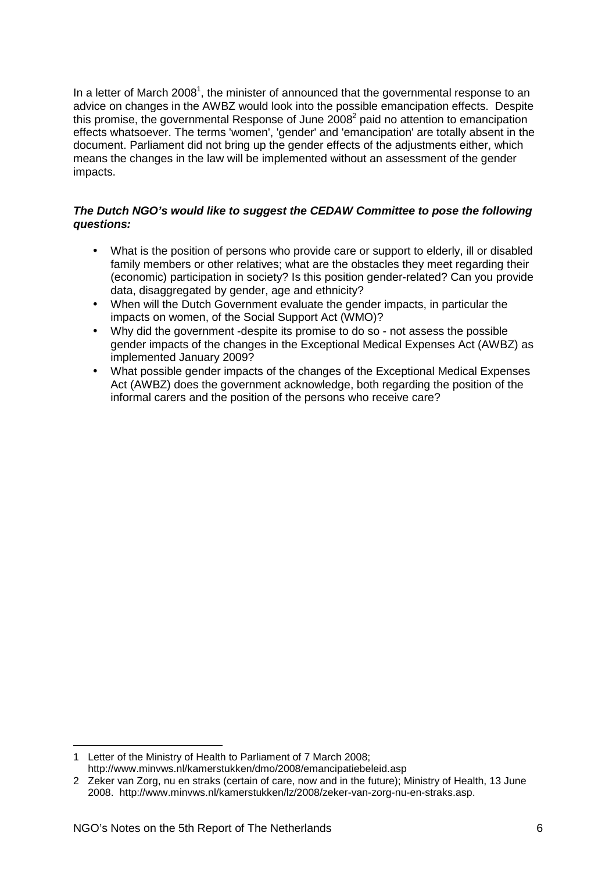In a letter of March 2008<sup>1</sup>, the minister of announced that the governmental response to an advice on changes in the AWBZ would look into the possible emancipation effects. Despite this promise, the governmental Response of June 2008 $^2$  paid no attention to emancipation effects whatsoever. The terms 'women', 'gender' and 'emancipation' are totally absent in the document. Parliament did not bring up the gender effects of the adjustments either, which means the changes in the law will be implemented without an assessment of the gender impacts.

## **The Dutch NGO's would like to suggest the CEDAW Committee to pose the following questions:**

- What is the position of persons who provide care or support to elderly, ill or disabled family members or other relatives; what are the obstacles they meet regarding their (economic) participation in society? Is this position gender-related? Can you provide data, disaggregated by gender, age and ethnicity?
- When will the Dutch Government evaluate the gender impacts, in particular the impacts on women, of the Social Support Act (WMO)?
- Why did the government -despite its promise to do so not assess the possible gender impacts of the changes in the Exceptional Medical Expenses Act (AWBZ) as implemented January 2009?
- What possible gender impacts of the changes of the Exceptional Medical Expenses Act (AWBZ) does the government acknowledge, both regarding the position of the informal carers and the position of the persons who receive care?

 $\overline{a}$ 1 Letter of the Ministry of Health to Parliament of 7 March 2008; http://www.minvws.nl/kamerstukken/dmo/2008/emancipatiebeleid.asp

<sup>2</sup> Zeker van Zorg, nu en straks (certain of care, now and in the future); Ministry of Health, 13 June 2008. http://www.minvws.nl/kamerstukken/lz/2008/zeker-van-zorg-nu-en-straks.asp.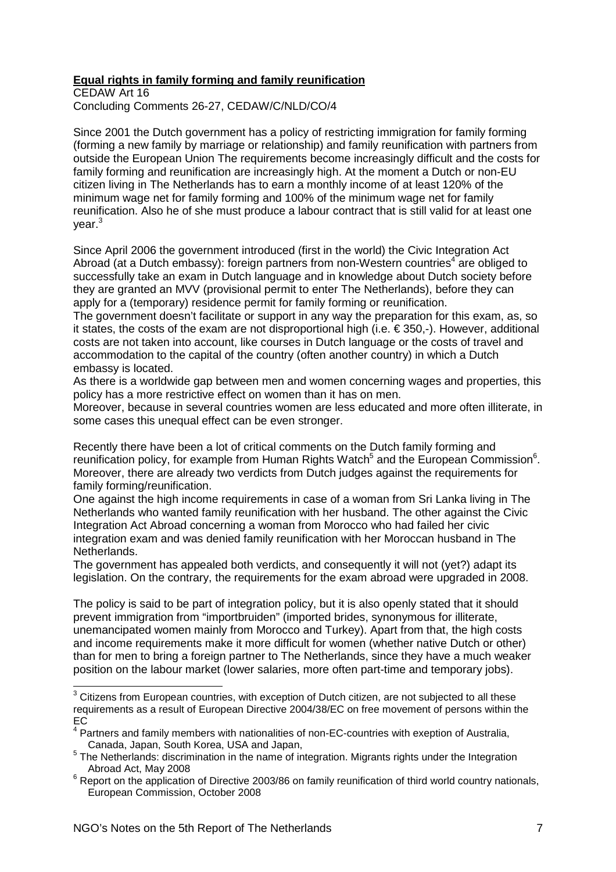## **Equal rights in family forming and family reunification**

CEDAW Art 16 Concluding Comments 26-27, CEDAW/C/NLD/CO/4

Since 2001 the Dutch government has a policy of restricting immigration for family forming (forming a new family by marriage or relationship) and family reunification with partners from outside the European Union The requirements become increasingly difficult and the costs for family forming and reunification are increasingly high. At the moment a Dutch or non-EU citizen living in The Netherlands has to earn a monthly income of at least 120% of the minimum wage net for family forming and 100% of the minimum wage net for family reunification. Also he of she must produce a labour contract that is still valid for at least one year.<sup>3</sup>

Since April 2006 the government introduced (first in the world) the Civic Integration Act Abroad (at a Dutch embassy): foreign partners from non-Western countries<sup>4</sup> are obliged to successfully take an exam in Dutch language and in knowledge about Dutch society before they are granted an MVV (provisional permit to enter The Netherlands), before they can apply for a (temporary) residence permit for family forming or reunification.

The government doesn't facilitate or support in any way the preparation for this exam, as, so it states, the costs of the exam are not disproportional high (i.e.  $\in$  350,-). However, additional costs are not taken into account, like courses in Dutch language or the costs of travel and accommodation to the capital of the country (often another country) in which a Dutch embassy is located.

As there is a worldwide gap between men and women concerning wages and properties, this policy has a more restrictive effect on women than it has on men.

Moreover, because in several countries women are less educated and more often illiterate, in some cases this unequal effect can be even stronger.

Recently there have been a lot of critical comments on the Dutch family forming and reunification policy, for example from Human Rights Watch<sup>5</sup> and the European Commission<sup>6</sup>. Moreover, there are already two verdicts from Dutch judges against the requirements for family forming/reunification.

One against the high income requirements in case of a woman from Sri Lanka living in The Netherlands who wanted family reunification with her husband. The other against the Civic Integration Act Abroad concerning a woman from Morocco who had failed her civic integration exam and was denied family reunification with her Moroccan husband in The Netherlands.

The government has appealed both verdicts, and consequently it will not (yet?) adapt its legislation. On the contrary, the requirements for the exam abroad were upgraded in 2008.

The policy is said to be part of integration policy, but it is also openly stated that it should prevent immigration from "importbruiden" (imported brides, synonymous for illiterate, unemancipated women mainly from Morocco and Turkey). Apart from that, the high costs and income requirements make it more difficult for women (whether native Dutch or other) than for men to bring a foreign partner to The Netherlands, since they have a much weaker position on the labour market (lower salaries, more often part-time and temporary jobs).

 $3$  Citizens from European countries, with exception of Dutch citizen, are not subjected to all these requirements as a result of European Directive 2004/38/EC on free movement of persons within the EC

<sup>&</sup>lt;sup>4</sup> Partners and family members with nationalities of non-EC-countries with exeption of Australia, Canada, Japan, South Korea, USA and Japan,

 $<sup>5</sup>$  The Netherlands: discrimination in the name of integration. Migrants rights under the Integration</sup> Abroad Act, May 2008

<sup>&</sup>lt;sup>6</sup> Report on the application of Directive 2003/86 on family reunification of third world country nationals, European Commission, October 2008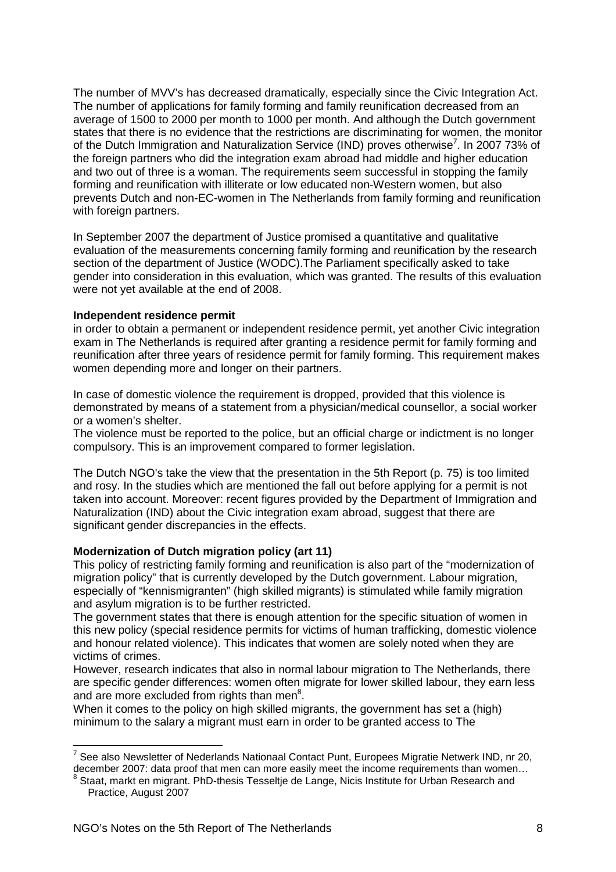The number of MVV's has decreased dramatically, especially since the Civic Integration Act. The number of applications for family forming and family reunification decreased from an average of 1500 to 2000 per month to 1000 per month. And although the Dutch government states that there is no evidence that the restrictions are discriminating for women, the monitor of the Dutch Immigration and Naturalization Service (IND) proves otherwise<sup>7</sup>. In 2007 73% of the foreign partners who did the integration exam abroad had middle and higher education and two out of three is a woman. The requirements seem successful in stopping the family forming and reunification with illiterate or low educated non-Western women, but also prevents Dutch and non-EC-women in The Netherlands from family forming and reunification with foreign partners.

In September 2007 the department of Justice promised a quantitative and qualitative evaluation of the measurements concerning family forming and reunification by the research section of the department of Justice (WODC).The Parliament specifically asked to take gender into consideration in this evaluation, which was granted. The results of this evaluation were not yet available at the end of 2008.

### **Independent residence permit**

in order to obtain a permanent or independent residence permit, yet another Civic integration exam in The Netherlands is required after granting a residence permit for family forming and reunification after three years of residence permit for family forming. This requirement makes women depending more and longer on their partners.

In case of domestic violence the requirement is dropped, provided that this violence is demonstrated by means of a statement from a physician/medical counsellor, a social worker or a women's shelter.

The violence must be reported to the police, but an official charge or indictment is no longer compulsory. This is an improvement compared to former legislation.

The Dutch NGO's take the view that the presentation in the 5th Report (p. 75) is too limited and rosy. In the studies which are mentioned the fall out before applying for a permit is not taken into account. Moreover: recent figures provided by the Department of Immigration and Naturalization (IND) about the Civic integration exam abroad, suggest that there are significant gender discrepancies in the effects.

### **Modernization of Dutch migration policy (art 11)**

This policy of restricting family forming and reunification is also part of the "modernization of migration policy" that is currently developed by the Dutch government. Labour migration, especially of "kennismigranten" (high skilled migrants) is stimulated while family migration and asylum migration is to be further restricted.

The government states that there is enough attention for the specific situation of women in this new policy (special residence permits for victims of human trafficking, domestic violence and honour related violence). This indicates that women are solely noted when they are victims of crimes.

However, research indicates that also in normal labour migration to The Netherlands, there are specific gender differences: women often migrate for lower skilled labour, they earn less and are more excluded from rights than men $8$ .

When it comes to the policy on high skilled migrants, the government has set a (high) minimum to the salary a migrant must earn in order to be granted access to The

<sup>————————————————————&</sup>lt;br><sup>7</sup> See also Newsletter of Nederlands Nationaal Contact Punt, Europees Migratie Netwerk IND, nr 20, december 2007: data proof that men can more easily meet the income requirements than women...

Staat, markt en migrant. PhD-thesis Tesseltje de Lange, Nicis Institute for Urban Research and Practice, August 2007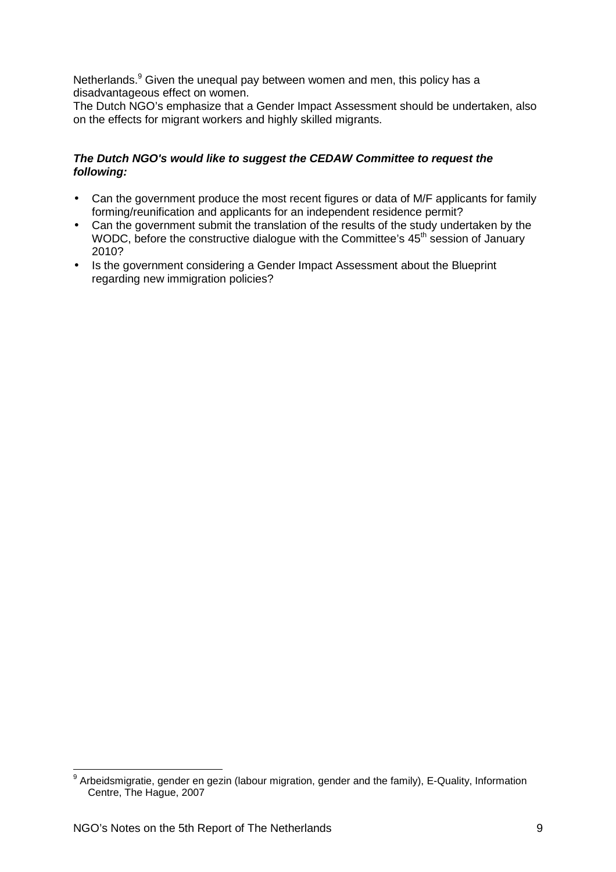Netherlands.<sup>9</sup> Given the unequal pay between women and men, this policy has a disadvantageous effect on women.

The Dutch NGO's emphasize that a Gender Impact Assessment should be undertaken, also on the effects for migrant workers and highly skilled migrants.

## **The Dutch NGO's would like to suggest the CEDAW Committee to request the following:**

- Can the government produce the most recent figures or data of M/F applicants for family forming/reunification and applicants for an independent residence permit?
- Can the government submit the translation of the results of the study undertaken by the WODC, before the constructive dialogue with the Committee's 45<sup>th</sup> session of January 2010?
- Is the government considering a Gender Impact Assessment about the Blueprint regarding new immigration policies?

\_\_\_\_\_\_\_\_\_\_\_\_\_\_\_\_\_\_\_\_\_\_\_\_\_\_\_\_\_\_\_\_\_\_\_<br><sup>9</sup> Arbeidsmigratie, gender en gezin (labour migration, gender and the family), E-Quality, Information <sub>\_</sub> Centre, The Hague, 2007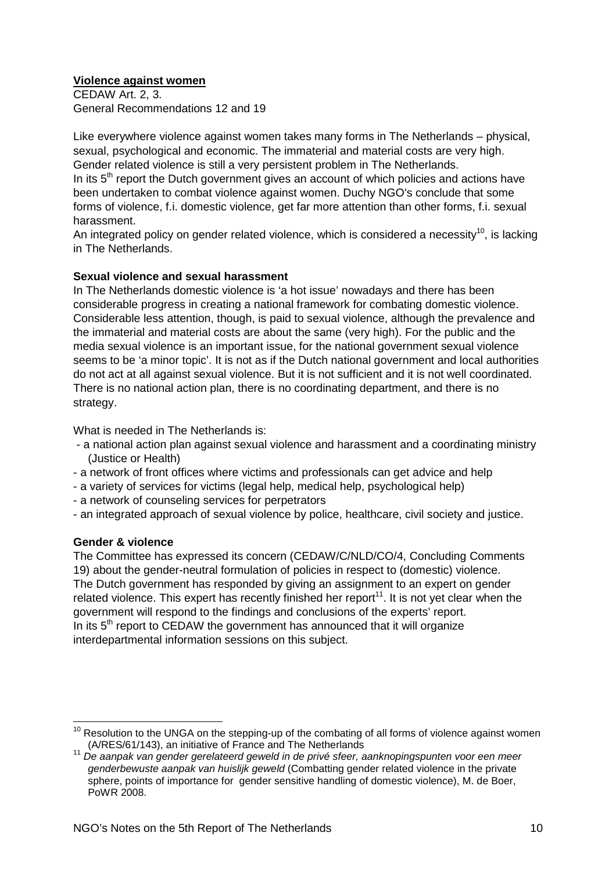## **Violence against women**

CEDAW Art. 2, 3. General Recommendations 12 and 19

Like everywhere violence against women takes many forms in The Netherlands – physical, sexual, psychological and economic. The immaterial and material costs are very high. Gender related violence is still a very persistent problem in The Netherlands.

In its  $5<sup>th</sup>$  report the Dutch government gives an account of which policies and actions have been undertaken to combat violence against women. Duchy NGO's conclude that some forms of violence, f.i. domestic violence, get far more attention than other forms, f.i. sexual harassment.

An integrated policy on gender related violence, which is considered a necessity<sup>10</sup>, is lacking in The Netherlands.

## **Sexual violence and sexual harassment**

In The Netherlands domestic violence is 'a hot issue' nowadays and there has been considerable progress in creating a national framework for combating domestic violence. Considerable less attention, though, is paid to sexual violence, although the prevalence and the immaterial and material costs are about the same (very high). For the public and the media sexual violence is an important issue, for the national government sexual violence seems to be 'a minor topic'. It is not as if the Dutch national government and local authorities do not act at all against sexual violence. But it is not sufficient and it is not well coordinated. There is no national action plan, there is no coordinating department, and there is no strategy.

What is needed in The Netherlands is:

- a national action plan against sexual violence and harassment and a coordinating ministry (Justice or Health)
- a network of front offices where victims and professionals can get advice and help
- a variety of services for victims (legal help, medical help, psychological help)
- a network of counseling services for perpetrators
- an integrated approach of sexual violence by police, healthcare, civil society and justice.

## **Gender & violence**

The Committee has expressed its concern (CEDAW/C/NLD/CO/4, Concluding Comments 19) about the gender-neutral formulation of policies in respect to (domestic) violence. The Dutch government has responded by giving an assignment to an expert on gender related violence. This expert has recently finished her report<sup>11</sup>. It is not yet clear when the government will respond to the findings and conclusions of the experts' report. In its  $5<sup>th</sup>$  report to CEDAW the government has announced that it will organize interdepartmental information sessions on this subject.

 $10$  Resolution to the UNGA on the stepping-up of the combating of all forms of violence against women (A/RES/61/143), an initiative of France and The Netherlands

<sup>11</sup> De aanpak van gender gerelateerd geweld in de privé sfeer, aanknopingspunten voor een meer genderbewuste aanpak van huislijk geweld (Combatting gender related violence in the private sphere, points of importance for gender sensitive handling of domestic violence), M. de Boer, PoWR 2008.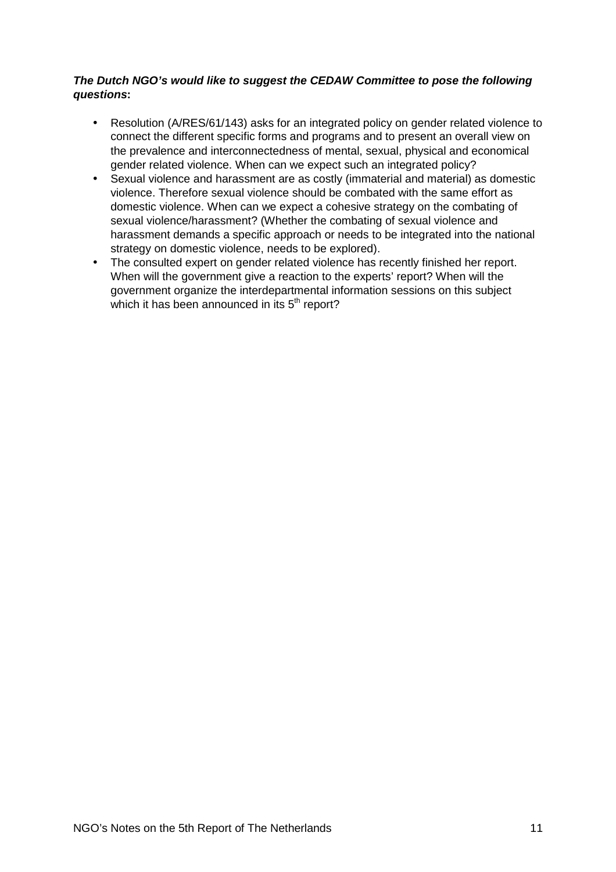## **The Dutch NGO's would like to suggest the CEDAW Committee to pose the following questions:**

- Resolution (A/RES/61/143) asks for an integrated policy on gender related violence to connect the different specific forms and programs and to present an overall view on the prevalence and interconnectedness of mental, sexual, physical and economical gender related violence. When can we expect such an integrated policy?
- Sexual violence and harassment are as costly (immaterial and material) as domestic violence. Therefore sexual violence should be combated with the same effort as domestic violence. When can we expect a cohesive strategy on the combating of sexual violence/harassment? (Whether the combating of sexual violence and harassment demands a specific approach or needs to be integrated into the national strategy on domestic violence, needs to be explored).
- The consulted expert on gender related violence has recently finished her report. When will the government give a reaction to the experts' report? When will the government organize the interdepartmental information sessions on this subject which it has been announced in its  $5<sup>th</sup>$  report?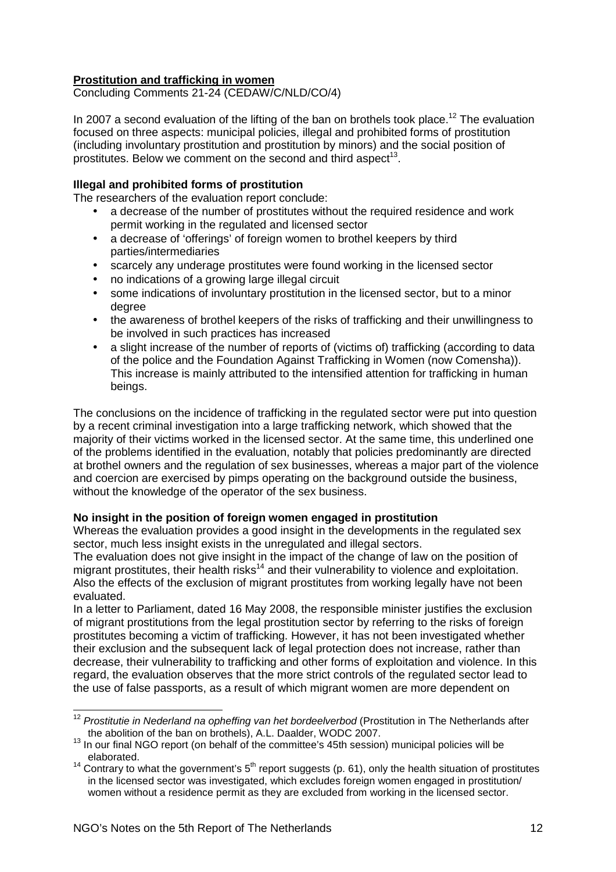## **Prostitution and trafficking in women**

Concluding Comments 21-24 (CEDAW/C/NLD/CO/4)

In 2007 a second evaluation of the lifting of the ban on brothels took place.<sup>12</sup> The evaluation focused on three aspects: municipal policies, illegal and prohibited forms of prostitution (including involuntary prostitution and prostitution by minors) and the social position of prostitutes. Below we comment on the second and third aspect<sup>13</sup>.

### **Illegal and prohibited forms of prostitution**

The researchers of the evaluation report conclude:

- a decrease of the number of prostitutes without the required residence and work permit working in the regulated and licensed sector
- a decrease of 'offerings' of foreign women to brothel keepers by third parties/intermediaries
- scarcely any underage prostitutes were found working in the licensed sector
- no indications of a growing large illegal circuit
- some indications of involuntary prostitution in the licensed sector, but to a minor degree
- the awareness of brothel keepers of the risks of trafficking and their unwillingness to be involved in such practices has increased
- a slight increase of the number of reports of (victims of) trafficking (according to data of the police and the Foundation Against Trafficking in Women (now Comensha)). This increase is mainly attributed to the intensified attention for trafficking in human beings.

The conclusions on the incidence of trafficking in the regulated sector were put into question by a recent criminal investigation into a large trafficking network, which showed that the majority of their victims worked in the licensed sector. At the same time, this underlined one of the problems identified in the evaluation, notably that policies predominantly are directed at brothel owners and the regulation of sex businesses, whereas a major part of the violence and coercion are exercised by pimps operating on the background outside the business, without the knowledge of the operator of the sex business.

### **No insight in the position of foreign women engaged in prostitution**

Whereas the evaluation provides a good insight in the developments in the regulated sex sector, much less insight exists in the unregulated and illegal sectors.

The evaluation does not give insight in the impact of the change of law on the position of migrant prostitutes, their health risks<sup>14</sup> and their vulnerability to violence and exploitation. Also the effects of the exclusion of migrant prostitutes from working legally have not been evaluated.

In a letter to Parliament, dated 16 May 2008, the responsible minister justifies the exclusion of migrant prostitutions from the legal prostitution sector by referring to the risks of foreign prostitutes becoming a victim of trafficking. However, it has not been investigated whether their exclusion and the subsequent lack of legal protection does not increase, rather than decrease, their vulnerability to trafficking and other forms of exploitation and violence. In this regard, the evaluation observes that the more strict controls of the regulated sector lead to the use of false passports, as a result of which migrant women are more dependent on

 $\overline{a}$  $12$  Prostitutie in Nederland na opheffing van het bordeelverbod (Prostitution in The Netherlands after the abolition of the ban on brothels), A.L. Daalder, WODC 2007.

<sup>&</sup>lt;sup>13</sup> In our final NGO report (on behalf of the committee's 45th session) municipal policies will be elaborated.

<sup>&</sup>lt;sup>14</sup> Contrary to what the government's  $5<sup>th</sup>$  report suggests (p. 61), only the health situation of prostitutes in the licensed sector was investigated, which excludes foreign women engaged in prostitution/ women without a residence permit as they are excluded from working in the licensed sector.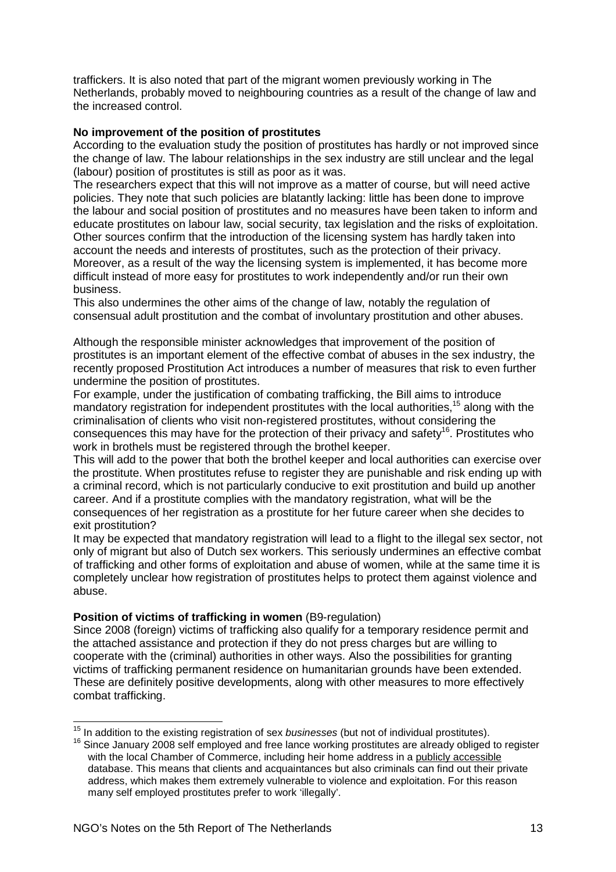traffickers. It is also noted that part of the migrant women previously working in The Netherlands, probably moved to neighbouring countries as a result of the change of law and the increased control.

### **No improvement of the position of prostitutes**

According to the evaluation study the position of prostitutes has hardly or not improved since the change of law. The labour relationships in the sex industry are still unclear and the legal (labour) position of prostitutes is still as poor as it was.

The researchers expect that this will not improve as a matter of course, but will need active policies. They note that such policies are blatantly lacking: little has been done to improve the labour and social position of prostitutes and no measures have been taken to inform and educate prostitutes on labour law, social security, tax legislation and the risks of exploitation. Other sources confirm that the introduction of the licensing system has hardly taken into account the needs and interests of prostitutes, such as the protection of their privacy. Moreover, as a result of the way the licensing system is implemented, it has become more difficult instead of more easy for prostitutes to work independently and/or run their own business.

This also undermines the other aims of the change of law, notably the regulation of consensual adult prostitution and the combat of involuntary prostitution and other abuses.

Although the responsible minister acknowledges that improvement of the position of prostitutes is an important element of the effective combat of abuses in the sex industry, the recently proposed Prostitution Act introduces a number of measures that risk to even further undermine the position of prostitutes.

For example, under the justification of combating trafficking, the Bill aims to introduce mandatory registration for independent prostitutes with the local authorities,<sup>15</sup> along with the criminalisation of clients who visit non-registered prostitutes, without considering the consequences this may have for the protection of their privacy and safety<sup>16</sup>. Prostitutes who work in brothels must be registered through the brothel keeper.

This will add to the power that both the brothel keeper and local authorities can exercise over the prostitute. When prostitutes refuse to register they are punishable and risk ending up with a criminal record, which is not particularly conducive to exit prostitution and build up another career. And if a prostitute complies with the mandatory registration, what will be the consequences of her registration as a prostitute for her future career when she decides to exit prostitution?

It may be expected that mandatory registration will lead to a flight to the illegal sex sector, not only of migrant but also of Dutch sex workers. This seriously undermines an effective combat of trafficking and other forms of exploitation and abuse of women, while at the same time it is completely unclear how registration of prostitutes helps to protect them against violence and abuse.

### **Position of victims of trafficking in women (B9-regulation)**

Since 2008 (foreign) victims of trafficking also qualify for a temporary residence permit and the attached assistance and protection if they do not press charges but are willing to cooperate with the (criminal) authorities in other ways. Also the possibilities for granting victims of trafficking permanent residence on humanitarian grounds have been extended. These are definitely positive developments, along with other measures to more effectively combat trafficking.

 $\overline{\phantom{a}}$  $15$  In addition to the existing registration of sex businesses (but not of individual prostitutes).

<sup>16</sup> Since January 2008 self employed and free lance working prostitutes are already obliged to register with the local Chamber of Commerce, including heir home address in a publicly accessible database. This means that clients and acquaintances but also criminals can find out their private address, which makes them extremely vulnerable to violence and exploitation. For this reason many self employed prostitutes prefer to work 'illegally'.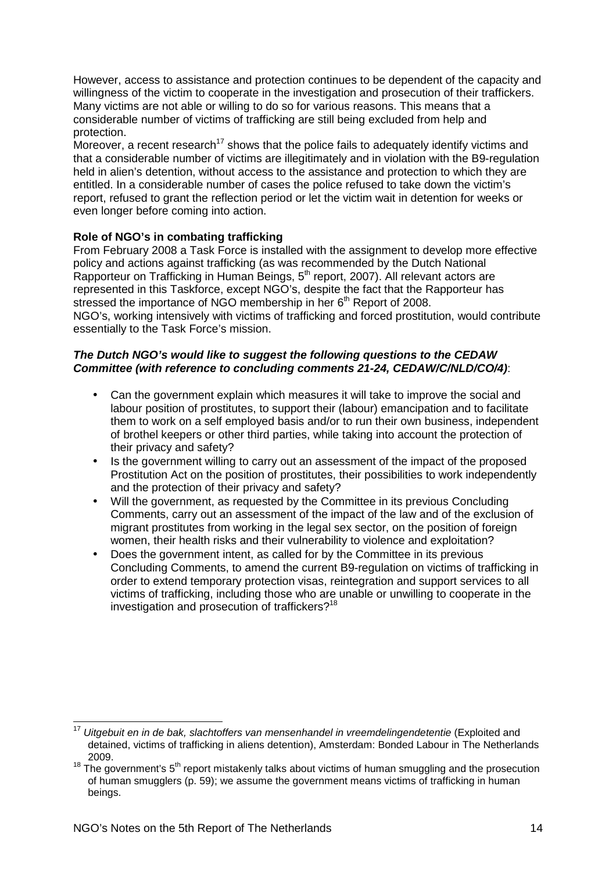However, access to assistance and protection continues to be dependent of the capacity and willingness of the victim to cooperate in the investigation and prosecution of their traffickers. Many victims are not able or willing to do so for various reasons. This means that a considerable number of victims of trafficking are still being excluded from help and protection.

Moreover, a recent research<sup>17</sup> shows that the police fails to adequately identify victims and that a considerable number of victims are illegitimately and in violation with the B9-regulation held in alien's detention, without access to the assistance and protection to which they are entitled. In a considerable number of cases the police refused to take down the victim's report, refused to grant the reflection period or let the victim wait in detention for weeks or even longer before coming into action.

## **Role of NGO's in combating trafficking**

From February 2008 a Task Force is installed with the assignment to develop more effective policy and actions against trafficking (as was recommended by the Dutch National Rapporteur on Trafficking in Human Beings,  $5<sup>th</sup>$  report, 2007). All relevant actors are represented in this Taskforce, except NGO's, despite the fact that the Rapporteur has stressed the importance of NGO membership in her 6<sup>th</sup> Report of 2008. NGO's, working intensively with victims of trafficking and forced prostitution, would contribute essentially to the Task Force's mission.

### **The Dutch NGO's would like to suggest the following questions to the CEDAW Committee (with reference to concluding comments 21-24, CEDAW/C/NLD/CO/4)**:

- Can the government explain which measures it will take to improve the social and labour position of prostitutes, to support their (labour) emancipation and to facilitate them to work on a self employed basis and/or to run their own business, independent of brothel keepers or other third parties, while taking into account the protection of their privacy and safety?
- Is the government willing to carry out an assessment of the impact of the proposed Prostitution Act on the position of prostitutes, their possibilities to work independently and the protection of their privacy and safety?
- Will the government, as requested by the Committee in its previous Concluding Comments, carry out an assessment of the impact of the law and of the exclusion of migrant prostitutes from working in the legal sex sector, on the position of foreign women, their health risks and their vulnerability to violence and exploitation?
- Does the government intent, as called for by the Committee in its previous Concluding Comments, to amend the current B9-regulation on victims of trafficking in order to extend temporary protection visas, reintegration and support services to all victims of trafficking, including those who are unable or unwilling to cooperate in the investigation and prosecution of traffickers?<sup>18</sup>

 $\overline{\phantom{a}}$  $17$  Uitgebuit en in de bak, slachtoffers van mensenhandel in vreemdelingendetentie (Exploited and detained, victims of trafficking in aliens detention), Amsterdam: Bonded Labour in The Netherlands 2009.

 $18$  The government's  $5<sup>th</sup>$  report mistakenly talks about victims of human smuggling and the prosecution of human smugglers (p. 59); we assume the government means victims of trafficking in human beings.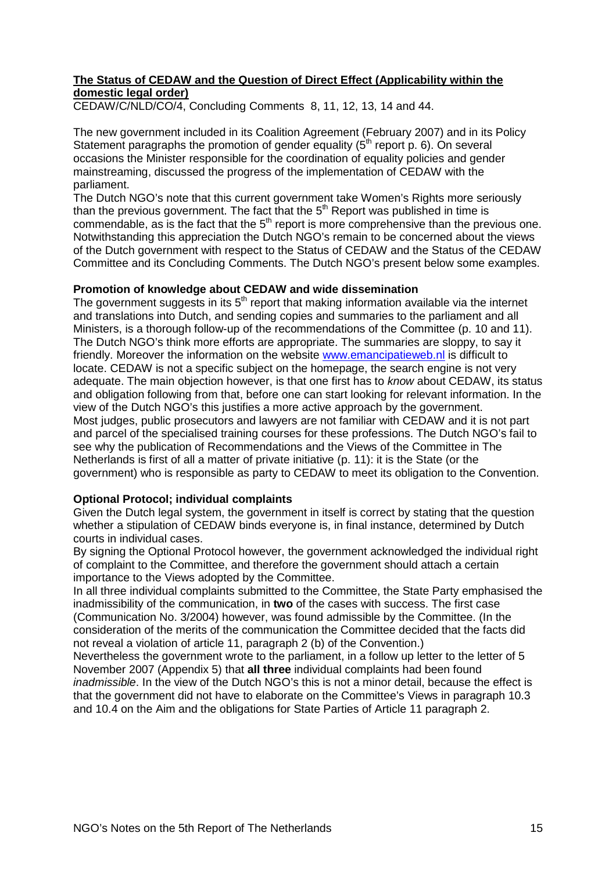## **The Status of CEDAW and the Question of Direct Effect (Applicability within the domestic legal order)**

CEDAW/C/NLD/CO/4, Concluding Comments 8, 11, 12, 13, 14 and 44.

The new government included in its Coalition Agreement (February 2007) and in its Policy Statement paragraphs the promotion of gender equality  $(5<sup>th</sup>$  report p. 6). On several occasions the Minister responsible for the coordination of equality policies and gender mainstreaming, discussed the progress of the implementation of CEDAW with the parliament.

The Dutch NGO's note that this current government take Women's Rights more seriously than the previous government. The fact that the  $5<sup>th</sup>$  Report was published in time is commendable, as is the fact that the  $5<sup>th</sup>$  report is more comprehensive than the previous one. Notwithstanding this appreciation the Dutch NGO's remain to be concerned about the views of the Dutch government with respect to the Status of CEDAW and the Status of the CEDAW Committee and its Concluding Comments. The Dutch NGO's present below some examples.

### **Promotion of knowledge about CEDAW and wide dissemination**

The government suggests in its  $5<sup>th</sup>$  report that making information available via the internet and translations into Dutch, and sending copies and summaries to the parliament and all Ministers, is a thorough follow-up of the recommendations of the Committee (p. 10 and 11). The Dutch NGO's think more efforts are appropriate. The summaries are sloppy, to say it friendly. Moreover the information on the website www.emancipatieweb.nl is difficult to locate. CEDAW is not a specific subject on the homepage, the search engine is not very adequate. The main objection however, is that one first has to *know* about CEDAW, its status and obligation following from that, before one can start looking for relevant information. In the view of the Dutch NGO's this justifies a more active approach by the government. Most judges, public prosecutors and lawyers are not familiar with CEDAW and it is not part and parcel of the specialised training courses for these professions. The Dutch NGO's fail to see why the publication of Recommendations and the Views of the Committee in The Netherlands is first of all a matter of private initiative (p. 11): it is the State (or the government) who is responsible as party to CEDAW to meet its obligation to the Convention.

### **Optional Protocol; individual complaints**

Given the Dutch legal system, the government in itself is correct by stating that the question whether a stipulation of CEDAW binds everyone is, in final instance, determined by Dutch courts in individual cases.

By signing the Optional Protocol however, the government acknowledged the individual right of complaint to the Committee, and therefore the government should attach a certain importance to the Views adopted by the Committee.

In all three individual complaints submitted to the Committee, the State Party emphasised the inadmissibility of the communication, in **two** of the cases with success. The first case (Communication No. 3/2004) however, was found admissible by the Committee. (In the consideration of the merits of the communication the Committee decided that the facts did not reveal a violation of article 11, paragraph 2 (b) of the Convention.)

Nevertheless the government wrote to the parliament, in a follow up letter to the letter of 5 November 2007 (Appendix 5) that **all three** individual complaints had been found inadmissible. In the view of the Dutch NGO's this is not a minor detail, because the effect is that the government did not have to elaborate on the Committee's Views in paragraph 10.3 and 10.4 on the Aim and the obligations for State Parties of Article 11 paragraph 2.